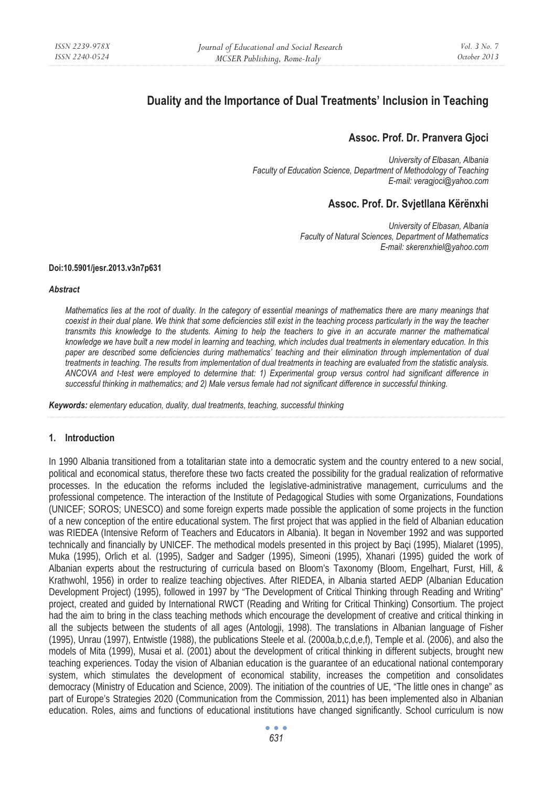# **Duality and the Importance of Dual Treatments' Inclusion in Teaching**

## **Assoc. Prof. Dr. Pranvera Gjoci**

*University of Elbasan, Albania Faculty of Education Science, Department of Methodology of Teaching E-mail: veragjoci@yahoo.com* 

## **Assoc. Prof. Dr. Svjetllana Kërënxhi**

*University of Elbasan, Albania Faculty of Natural Sciences, Department of Mathematics E-mail: skerenxhiel@yahoo.com* 

#### **Doi:10.5901/jesr.2013.v3n7p631**

#### *Abstract*

*Mathematics lies at the root of duality. In the category of essential meanings of mathematics there are many meanings that coexist in their dual plane. We think that some deficiencies still exist in the teaching process particularly in the way the teacher transmits this knowledge to the students. Aiming to help the teachers to give in an accurate manner the mathematical knowledge we have built a new model in learning and teaching, which includes dual treatments in elementary education. In this paper are described some deficiencies during mathematics' teaching and their elimination through implementation of dual treatments in teaching. The results from implementation of dual treatments in teaching are evaluated from the statistic analysis. ANCOVA and t-test were employed to determine that: 1) Experimental group versus control had significant difference in successful thinking in mathematics; and 2) Male versus female had not significant difference in successful thinking.* 

*Keywords: elementary education, duality, dual treatments, teaching, successful thinking* 

#### **1. Introduction**

In 1990 Albania transitioned from a totalitarian state into a democratic system and the country entered to a new social, political and economical status, therefore these two facts created the possibility for the gradual realization of reformative processes. In the education the reforms included the legislative-administrative management, curriculums and the professional competence. The interaction of the Institute of Pedagogical Studies with some Organizations, Foundations (UNICEF; SOROS; UNESCO) and some foreign experts made possible the application of some projects in the function of a new conception of the entire educational system. The first project that was applied in the field of Albanian education was RIEDEA (Intensive Reform of Teachers and Educators in Albania). It began in November 1992 and was supported technically and financially by UNICEF. The methodical models presented in this project by Baçi (1995), Mialaret (1995), Muka (1995), Orlich et al. (1995), Sadger and Sadger (1995), Simeoni (1995), Xhanari (1995) guided the work of Albanian experts about the restructuring of curricula based on Bloom's Taxonomy (Bloom, Engelhart, Furst, Hill, & Krathwohl, 1956) in order to realize teaching objectives. After RIEDEA, in Albania started AEDP (Albanian Education Development Project) (1995), followed in 1997 by "The Development of Critical Thinking through Reading and Writing" project, created and guided by International RWCT (Reading and Writing for Critical Thinking) Consortium. The project had the aim to bring in the class teaching methods which encourage the development of creative and critical thinking in all the subjects between the students of all ages (Antologji, 1998). The translations in Albanian language of Fisher (1995), Unrau (1997), Entwistle (1988), the publications Steele et al. (2000a,b,c,d,e,f), Temple et al. (2006), and also the models of Mita (1999), Musai et al. (2001) about the development of critical thinking in different subjects, brought new teaching experiences. Today the vision of Albanian education is the guarantee of an educational national contemporary system, which stimulates the development of economical stability, increases the competition and consolidates democracy (Ministry of Education and Science, 2009). The initiation of the countries of UE, "The little ones in change" as part of Europe's Strategies 2020 (Communication from the Commission, 2011) has been implemented also in Albanian education. Roles, aims and functions of educational institutions have changed significantly. School curriculum is now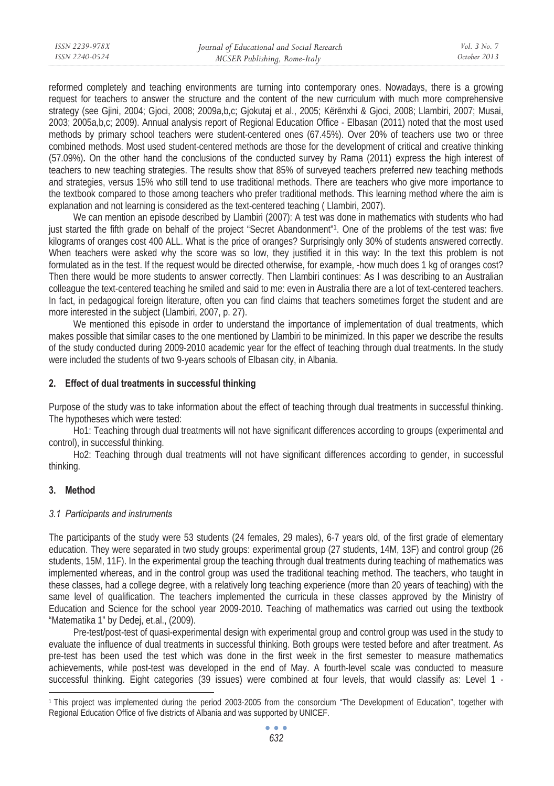| ISSN 2239-978X | Journal of Educational and Social Research | Vol. 3 No. 7 |
|----------------|--------------------------------------------|--------------|
| ISSN 2240-0524 | MCSER Publishing, Rome-Italy               | October 2013 |
|                |                                            |              |

reformed completely and teaching environments are turning into contemporary ones. Nowadays, there is a growing request for teachers to answer the structure and the content of the new curriculum with much more comprehensive strategy (see Gjini, 2004; Gjoci, 2008; 2009a,b,c; Gjokutaj et al., 2005; Kërënxhi & Gjoci, 2008; Llambiri, 2007; Musai, 2003; 2005a,b,c; 2009). Annual analysis report of Regional Education Office - Elbasan (2011) noted that the most used methods by primary school teachers were student-centered ones (67.45%). Over 20% of teachers use two or three combined methods. Most used student-centered methods are those for the development of critical and creative thinking (57.09%)**.** On the other hand the conclusions of the conducted survey by Rama (2011) express the high interest of teachers to new teaching strategies. The results show that 85% of surveyed teachers preferred new teaching methods and strategies, versus 15% who still tend to use traditional methods. There are teachers who give more importance to the textbook compared to those among teachers who prefer traditional methods. This learning method where the aim is explanation and not learning is considered as the text-centered teaching ( Llambiri, 2007).

We can mention an episode described by Llambiri (2007): A test was done in mathematics with students who had just started the fifth grade on behalf of the project "Secret Abandonment"1. One of the problems of the test was: five kilograms of oranges cost 400 ALL. What is the price of oranges? Surprisingly only 30% of students answered correctly. When teachers were asked why the score was so low, they justified it in this way: In the text this problem is not formulated as in the test. If the request would be directed otherwise, for example, -how much does 1 kg of oranges cost? Then there would be more students to answer correctly. Then Llambiri continues: As I was describing to an Australian colleague the text-centered teaching he smiled and said to me: even in Australia there are a lot of text-centered teachers. In fact, in pedagogical foreign literature, often you can find claims that teachers sometimes forget the student and are more interested in the subject (Llambiri, 2007, p. 27).

We mentioned this episode in order to understand the importance of implementation of dual treatments, which makes possible that similar cases to the one mentioned by Llambiri to be minimized. In this paper we describe the results of the study conducted during 2009-2010 academic year for the effect of teaching through dual treatments. In the study were included the students of two 9-years schools of Elbasan city, in Albania.

### **2. Effect of dual treatments in successful thinking**

Purpose of the study was to take information about the effect of teaching through dual treatments in successful thinking. The hypotheses which were tested:

Ho1: Teaching through dual treatments will not have significant differences according to groups (experimental and control), in successful thinking.

Ho2: Teaching through dual treatments will not have significant differences according to gender, in successful thinking.

#### **3. Method**

### *3.1 Participants and instruments*

The participants of the study were 53 students (24 females, 29 males), 6-7 years old, of the first grade of elementary education. They were separated in two study groups: experimental group (27 students, 14M, 13F) and control group (26 students, 15M, 11F). In the experimental group the teaching through dual treatments during teaching of mathematics was implemented whereas, and in the control group was used the traditional teaching method. The teachers, who taught in these classes, had a college degree, with a relatively long teaching experience (more than 20 years of teaching) with the same level of qualification. The teachers implemented the curricula in these classes approved by the Ministry of Education and Science for the school year 2009-2010. Teaching of mathematics was carried out using the textbook "Matematika 1" by Dedej, et.al., (2009).

Pre-test/post-test of quasi-experimental design with experimental group and control group was used in the study to evaluate the influence of dual treatments in successful thinking. Both groups were tested before and after treatment. As pre-test has been used the test which was done in the first week in the first semester to measure mathematics achievements, while post-test was developed in the end of May. A fourth-level scale was conducted to measure successful thinking. Eight categories (39 issues) were combined at four levels, that would classify as: Level 1 -

 1 This project was implemented during the period 2003-2005 from the consorcium "The Development of Education", together with Regional Education Office of five districts of Albania and was supported by UNICEF.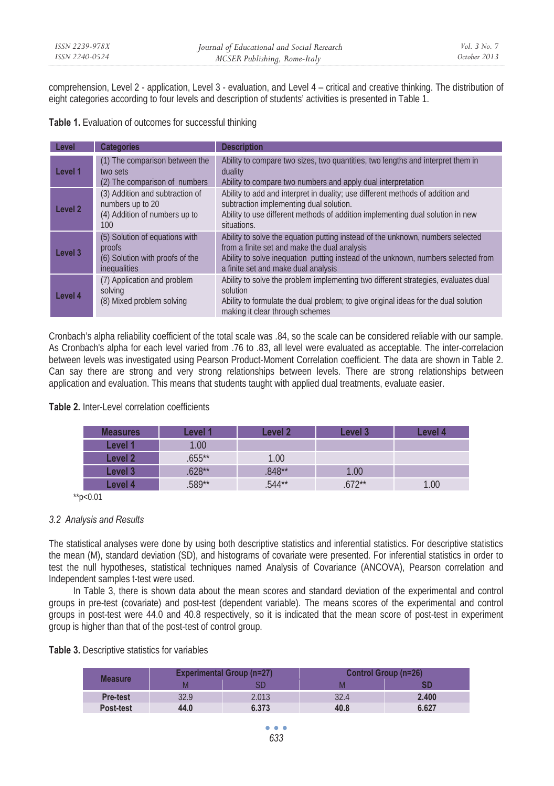comprehension, Level 2 - application, Level 3 - evaluation, and Level 4 – critical and creative thinking. The distribution of eight categories according to four levels and description of students' activities is presented in Table 1.

**Table 1.** Evaluation of outcomes for successful thinking

| Level   | <b>Categories</b>                                                                                  | <b>Description</b>                                                                                                                                                                                                                                         |
|---------|----------------------------------------------------------------------------------------------------|------------------------------------------------------------------------------------------------------------------------------------------------------------------------------------------------------------------------------------------------------------|
| Level 1 | (1) The comparison between the<br>two sets<br>(2) The comparison of numbers                        | Ability to compare two sizes, two quantities, two lengths and interpret them in<br>duality<br>Ability to compare two numbers and apply dual interpretation                                                                                                 |
| Level 2 | (3) Addition and subtraction of<br>numbers up to 20<br>(4) Addition of numbers up to<br>100        | Ability to add and interpret in duality; use different methods of addition and<br>subtraction implementing dual solution.<br>Ability to use different methods of addition implementing dual solution in new<br>situations.                                 |
| Level 3 | (5) Solution of equations with<br>proofs<br>(6) Solution with proofs of the<br><i>inequalities</i> | Ability to solve the equation putting instead of the unknown, numbers selected<br>from a finite set and make the dual analysis<br>Ability to solve inequation putting instead of the unknown, numbers selected from<br>a finite set and make dual analysis |
| Level 4 | (7) Application and problem<br>solving<br>(8) Mixed problem solving                                | Ability to solve the problem implementing two different strategies, evaluates dual<br>solution<br>Ability to formulate the dual problem; to give original ideas for the dual solution<br>making it clear through schemes                                   |

Cronbach's alpha reliability coefficient of the total scale was .84, so the scale can be considered reliable with our sample. As Cronbach's alpha for each level varied from .76 to .83, all level were evaluated as acceptable. The inter-correlacion between levels was investigated using Pearson Product-Moment Correlation coefficient. The data are shown in Table 2. Can say there are strong and very strong relationships between levels. There are strong relationships between application and evaluation. This means that students taught with applied dual treatments, evaluate easier.

#### **Table 2.** Inter-Level correlation coefficients

| <b>Measures</b> | Level 1  | Level 7           | <b>Level 3</b> | Level 4 |
|-----------------|----------|-------------------|----------------|---------|
| ∟evel 1         | .00      |                   |                |         |
| <b>Level 7</b>  | $655***$ | 1.00 <sub>1</sub> |                |         |
| Level 3         | $.628**$ | $.848**$          | $\rm 0.00$     |         |
| .evel 4         | .589**   | $.544**$          | $672**$        | 1.00    |

 $*$ <sub>p</sub><0.01

## *3.2 Analysis and Results*

The statistical analyses were done by using both descriptive statistics and inferential statistics. For descriptive statistics the mean (M), standard deviation (SD), and histograms of covariate were presented. For inferential statistics in order to test the null hypotheses, statistical techniques named Analysis of Covariance (ANCOVA), Pearson correlation and Independent samples t-test were used.

In Table 3, there is shown data about the mean scores and standard deviation of the experimental and control groups in pre-test (covariate) and post-test (dependent variable). The means scores of the experimental and control groups in post-test were 44.0 and 40.8 respectively, so it is indicated that the mean score of post-test in experiment group is higher than that of the post-test of control group.

**Table 3.** Descriptive statistics for variables

| Measure         |      | <b>Experimental Group (n=27)</b> | <b>Control Group (n=26)</b> |       |  |
|-----------------|------|----------------------------------|-----------------------------|-------|--|
|                 |      |                                  |                             |       |  |
| <b>Pre-test</b> | 32.9 | 2.013                            |                             | 2.400 |  |
| Post-test       | 44.0 | 6.373                            | 40.8                        | 6.627 |  |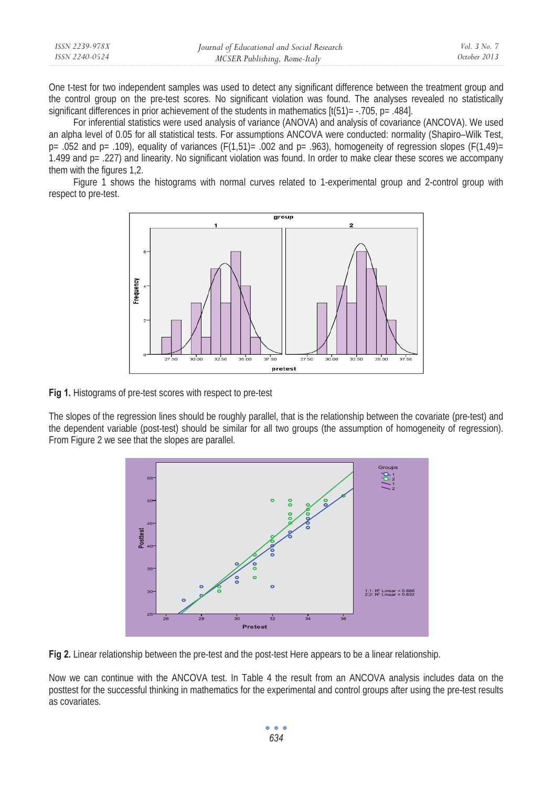| ISSN 2239-978X | Journal of Educational and Social Research | Vol. 3 No. 7 |
|----------------|--------------------------------------------|--------------|
| ISSN 2240-0524 | MCSER Publishing, Rome-Italy               | October 2013 |

One t-test for two independent samples was used to detect any significant difference between the treatment group and the control group on the pre-test scores. No significant violation was found. The analyses revealed no statistically significant differences in prior achievement of the students in mathematics [t(51)= -.705, p= .484].

For inferential statistics were used analysis of variance (ANOVA) and analysis of covariance (ANCOVA). We used an alpha level of 0.05 for all statistical tests. For assumptions ANCOVA were conducted: normality (Shapiro–Wilk Test,  $p=$  .052 and  $p=$  .109), equality of variances (F(1,51)= .002 and  $p=$  .963), homogeneity of regression slopes (F(1,49)= 1.499 and p= .227) and linearity. No significant violation was found. In order to make clear these scores we accompany them with the figures 1,2.

Figure 1 shows the histograms with normal curves related to 1-experimental group and 2-control group with respect to pre-test.



**Fig 1.** Histograms of pre-test scores with respect to pre-test

The slopes of the regression lines should be roughly parallel, that is the relationship between the covariate (pre-test) and the dependent variable (post-test) should be similar for all two groups (the assumption of homogeneity of regression). From Figure 2 we see that the slopes are parallel.



**Fig 2.** Linear relationship between the pre-test and the post-test Here appears to be a linear relationship.

Now we can continue with the ANCOVA test. In Table 4 the result from an ANCOVA analysis includes data on the posttest for the successful thinking in mathematics for the experimental and control groups after using the pre-test results as covariates.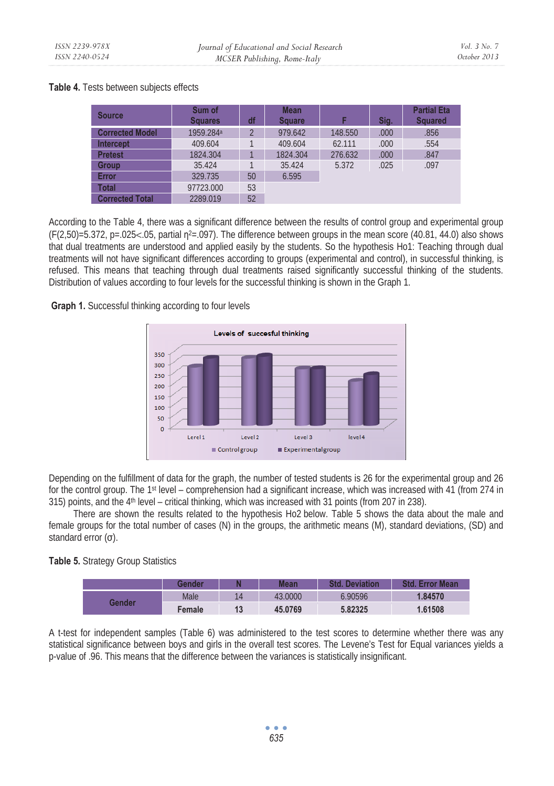## **Table 4.** Tests between subjects effects

| <b>Source</b>          | Sum of<br><b>Squares</b> | df | <b>Mean</b><br><b>Square</b> |         | Sig. | <b>Partial Eta</b><br><b>Squared</b> |
|------------------------|--------------------------|----|------------------------------|---------|------|--------------------------------------|
| <b>Corrected Model</b> | 1959.284a                | 2  | 979.642                      | 148.550 | .000 | .856                                 |
| Intercept              | 409.604                  |    | 409.604                      | 62.111  | .000 | .554                                 |
| <b>Pretest</b>         | 1824.304                 |    | 1824.304                     | 276.632 | .000 | .847                                 |
| <b>Group</b>           | 35.424                   |    | 35.424                       | 5.372   | .025 | .097                                 |
| <b>Error</b>           | 329.735                  | 50 | 6.595                        |         |      |                                      |
| <b>Total</b>           | 97723,000                | 53 |                              |         |      |                                      |
| <b>Corrected Total</b> | 2289.019                 | 52 |                              |         |      |                                      |

According to the Table 4, there was a significant difference between the results of control group and experimental group  $(F(2,50)=5.372, p=.025<0.05,$  partial  $p^2=.097$ ). The difference between groups in the mean score (40.81, 44.0) also shows that dual treatments are understood and applied easily by the students. So the hypothesis Ho1: Teaching through dual treatments will not have significant differences according to groups (experimental and control), in successful thinking, is refused. This means that teaching through dual treatments raised significantly successful thinking of the students. Distribution of values according to four levels for the successful thinking is shown in the Graph 1.

## **Graph 1.** Successful thinking according to four levels



Depending on the fulfillment of data for the graph, the number of tested students is 26 for the experimental group and 26 for the control group. The 1st level – comprehension had a significant increase, which was increased with 41 (from 274 in 315) points, and the 4<sup>th</sup> level – critical thinking, which was increased with 31 points (from 207 in 238).

There are shown the results related to the hypothesis Ho2 below. Table 5 shows the data about the male and female groups for the total number of cases (N) in the groups, the arithmetic means (M), standard deviations, (SD) and standard error  $(\sigma)$ .

## **Table 5.** Strategy Group Statistics

|        | Gender | N  | <b>Mean</b> | <b>Std. Deviation</b> | <b>Std. Error Mean</b> |
|--------|--------|----|-------------|-----------------------|------------------------|
| Gender | Male   | 14 | 43.0000     | 6.90596               | 1.84570                |
|        | Female | 13 | 45.0769     | 5.82325               | 1.61508                |

A t-test for independent samples (Table 6) was administered to the test scores to determine whether there was any statistical significance between boys and girls in the overall test scores. The Levene's Test for Equal variances yields a p-value of .96. This means that the difference between the variances is statistically insignificant.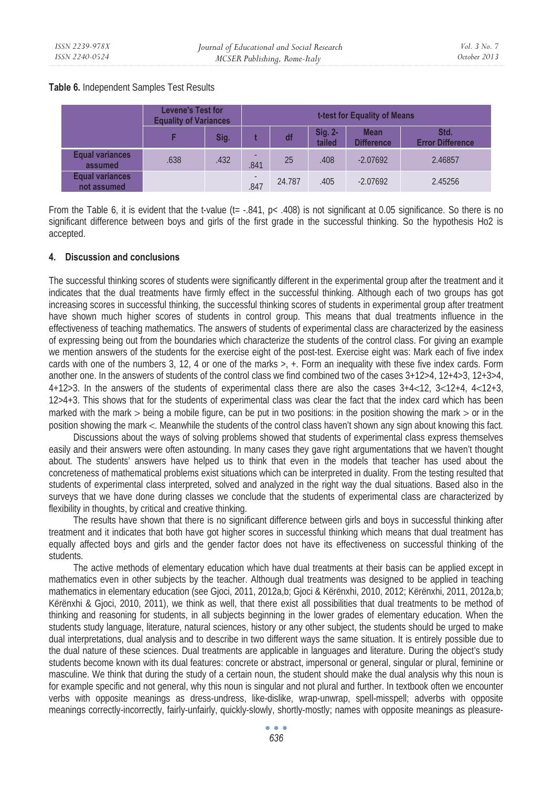### **Table 6.** Independent Samples Test Results

|                                       | <b>Levene's Test for</b><br><b>Equality of Variances</b> |      |      |        | t-test for Equality of Means |                                  |                                 |  |
|---------------------------------------|----------------------------------------------------------|------|------|--------|------------------------------|----------------------------------|---------------------------------|--|
|                                       |                                                          | Sig. |      | df     | Sig. 2-<br>tailed            | <b>Mean</b><br><b>Difference</b> | Std.<br><b>Error Difference</b> |  |
| <b>Equal variances</b><br>assumed     | .638                                                     | .432 | .841 | 25     | .408                         | $-2.07692$                       | 2.46857                         |  |
| <b>Equal variances</b><br>not assumed |                                                          |      | 847  | 24.787 | .405                         | $-2.07692$                       | 2.45256                         |  |

From the Table 6, it is evident that the t-value (t=  $-0.841$ ,  $p< 0.408$ ) is not significant at 0.05 significance. So there is no significant difference between boys and girls of the first grade in the successful thinking. So the hypothesis Ho2 is accepted.

### **4. Discussion and conclusions**

The successful thinking scores of students were significantly different in the experimental group after the treatment and it indicates that the dual treatments have firmly effect in the successful thinking. Although each of two groups has got increasing scores in successful thinking, the successful thinking scores of students in experimental group after treatment have shown much higher scores of students in control group. This means that dual treatments influence in the effectiveness of teaching mathematics. The answers of students of experimental class are characterized by the easiness of expressing being out from the boundaries which characterize the students of the control class. For giving an example we mention answers of the students for the exercise eight of the post-test. Exercise eight was: Mark each of five index cards with one of the numbers 3, 12, 4 or one of the marks  $>$ ,  $+$ . Form an inequality with these five index cards. Form another one. In the answers of students of the control class we find combined two of the cases 3+12>4, 12+4>3, 12+3>4, 4+12>3. In the answers of the students of experimental class there are also the cases 3+4<12, 3<12+4, 4<12+3, 12>4+3. This shows that for the students of experimental class was clear the fact that the index card which has been marked with the mark  $>$  being a mobile figure, can be put in two positions: in the position showing the mark  $>$  or in the position showing the mark <. Meanwhile the students of the control class haven't shown any sign about knowing this fact.

Discussions about the ways of solving problems showed that students of experimental class express themselves easily and their answers were often astounding. In many cases they gave right argumentations that we haven't thought about. The students' answers have helped us to think that even in the models that teacher has used about the concreteness of mathematical problems exist situations which can be interpreted in duality. From the testing resulted that students of experimental class interpreted, solved and analyzed in the right way the dual situations. Based also in the surveys that we have done during classes we conclude that the students of experimental class are characterized by flexibility in thoughts, by critical and creative thinking.

The results have shown that there is no significant difference between girls and boys in successful thinking after treatment and it indicates that both have got higher scores in successful thinking which means that dual treatment has equally affected boys and girls and the gender factor does not have its effectiveness on successful thinking of the students.

The active methods of elementary education which have dual treatments at their basis can be applied except in mathematics even in other subjects by the teacher. Although dual treatments was designed to be applied in teaching mathematics in elementary education (see Gjoci, 2011, 2012a,b; Gjoci & Kërënxhi, 2010, 2012; Kërënxhi, 2011, 2012a,b; Kërënxhi & Gjoci, 2010, 2011), we think as well, that there exist all possibilities that dual treatments to be method of thinking and reasoning for students, in all subjects beginning in the lower grades of elementary education. When the students study language, literature, natural sciences, history or any other subject, the students should be urged to make dual interpretations, dual analysis and to describe in two different ways the same situation. It is entirely possible due to the dual nature of these sciences. Dual treatments are applicable in languages and literature. During the object's study students become known with its dual features: concrete or abstract, impersonal or general, singular or plural, feminine or masculine. We think that during the study of a certain noun, the student should make the dual analysis why this noun is for example specific and not general, why this noun is singular and not plural and further. In textbook often we encounter verbs with opposite meanings as dress-undress, like-dislike, wrap-unwrap, spell-misspell; adverbs with opposite meanings correctly-incorrectly, fairly-unfairly, quickly-slowly, shortly-mostly; names with opposite meanings as pleasure-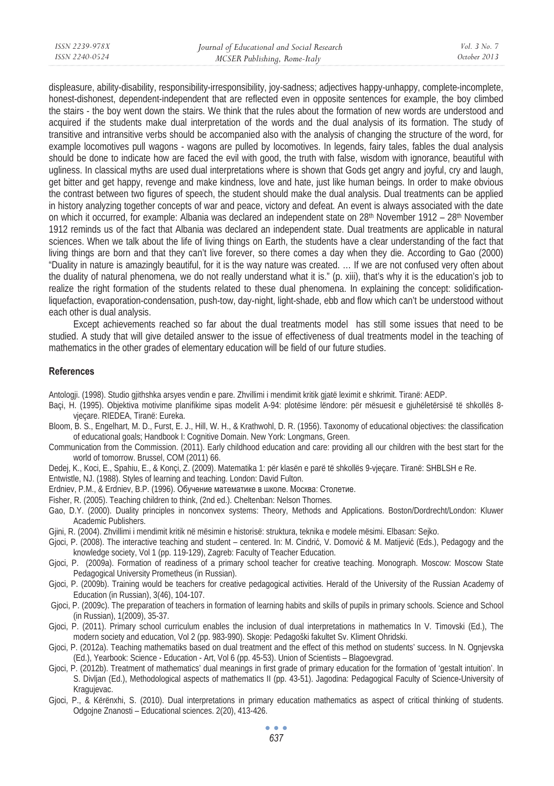| ISSN 2239-978X | Journal of Educational and Social Research | Vol. 3 No. 7 |
|----------------|--------------------------------------------|--------------|
| ISSN 2240-0524 | MCSER Publishing, Rome-Italy               | October 2013 |
|                |                                            |              |

displeasure, ability-disability, responsibility-irresponsibility, joy-sadness; adjectives happy-unhappy, complete-incomplete, honest-dishonest, dependent-independent that are reflected even in opposite sentences for example, the boy climbed the stairs - the boy went down the stairs. We think that the rules about the formation of new words are understood and acquired if the students make dual interpretation of the words and the dual analysis of its formation. The study of transitive and intransitive verbs should be accompanied also with the analysis of changing the structure of the word, for example locomotives pull wagons - wagons are pulled by locomotives. In legends, fairy tales, fables the dual analysis should be done to indicate how are faced the evil with good, the truth with false, wisdom with ignorance, beautiful with ugliness. In classical myths are used dual interpretations where is shown that Gods get angry and joyful, cry and laugh, get bitter and get happy, revenge and make kindness, love and hate, just like human beings. In order to make obvious the contrast between two figures of speech, the student should make the dual analysis. Dual treatments can be applied in history analyzing together concepts of war and peace, victory and defeat. An event is always associated with the date on which it occurred, for example: Albania was declared an independent state on  $28<sup>th</sup>$  November 1912 –  $28<sup>th</sup>$  November 1912 reminds us of the fact that Albania was declared an independent state. Dual treatments are applicable in natural sciences. When we talk about the life of living things on Earth, the students have a clear understanding of the fact that living things are born and that they can't live forever, so there comes a day when they die. According to Gao (2000) "Duality in nature is amazingly beautiful, for it is the way nature was created. … If we are not confused very often about the duality of natural phenomena, we do not really understand what it is." (p. xiii), that's why it is the education's job to realize the right formation of the students related to these dual phenomena. In explaining the concept: solidificationliquefaction, evaporation-condensation, push-tow, day-night, light-shade, ebb and flow which can't be understood without each other is dual analysis.

Except achievements reached so far about the dual treatments model has still some issues that need to be studied. A study that will give detailed answer to the issue of effectiveness of dual treatments model in the teaching of mathematics in the other grades of elementary education will be field of our future studies.

#### **References**

Antologji. (1998). Studio gjithshka arsyes vendin e pare. Zhvillimi i mendimit kritik gjatë leximit e shkrimit. Tiranë: AEDP.

- Baçi, H. (1995). Objektiva motivime planifikime sipas modelit A-94: plotësime lëndore: për mësuesit e gjuhëletërsisë të shkollës 8 vjeçare. RIEDEA, Tiranë: Eureka.
- Bloom, B. S., Engelhart, M. D., Furst, E. J., Hill, W. H., & Krathwohl, D. R. (1956). Taxonomy of educational objectives: the classification of educational goals; Handbook I: Cognitive Domain. New York: Longmans, Green.
- Communication from the Commission. (2011). Early childhood education and care: providing all our children with the best start for the world of tomorrow. Brussel, COM (2011) 66.
- Dedej, K., Koci, E., Spahiu, E., & Konçi, Z. (2009). Matematika 1: për klasën e parë të shkollës 9-vjeçare. Tiranë: SHBLSH e Re.
- Entwistle, NJ. (1988). Styles of learning and teaching. London: David Fulton.
- Erdniev, P.M., & Erdniev, B.P. (1996). Обучение математике в школе. Москва: Столетие.
- Fisher, R. (2005). Teaching children to think, (2nd ed.). Cheltenban: Nelson Thornes.
- Gao, D.Y. (2000). Duality principles in nonconvex systems: Theory, Methods and Applications. Boston/Dordrecht/London: Kluwer Academic Publishers.
- Gjini, R. (2004). Zhvillimi i mendimit kritik në mësimin e historisë: struktura, teknika e modele mësimi. Elbasan: Sejko.
- Gjoci, P. (2008). The interactive teaching and student centered. In: M. Cindrić, V. Domović & M. Matijević (Eds.), Pedagogy and the knowledge society, Vol 1 (pp. 119-129), Zagreb: Faculty of Teacher Education.
- Gjoci, P. (2009a). Formation of readiness of a primary school teacher for creative teaching. Monograph. Moscow: Moscow State Pedagogical University Prometheus (in Russian).
- Gjoci, P. (2009b). Training would be teachers for creative pedagogical activities. Herald of the University of the Russian Academy of Education (in Russian), 3(46), 104-107.
- Gjoci, P. (2009c). The preparation of teachers in formation of learning habits and skills of pupils in primary schools. Science and School (in Russian), 1(2009), 35-37.
- Gjoci, P. (2011). Primary school curriculum enables the inclusion of dual interpretations in mathematics In V. Timovski (Ed.), The modern society and education, Vol 2 (pp. 983-990). Skopje: Pedagoški fakultet Sv. Kliment Ohridski.
- Gjoci, P. (2012a). Teaching mathematiks based on dual treatment and the effect of this method on students' success. In N. Ognjevska (Ed.), Yearbook: Science - Education - Art, Vol 6 (pp. 45-53). Union of Scientists – Blagoevgrad.
- Gjoci, P. (2012b). Treatment of mathematics' dual meanings in first grade of primary education for the formation of 'gestalt intuition'. In S. Divljan (Ed.), Methodological aspects of mathematics II (pp. 43-51). Jagodina: Pedagogical Faculty of Science-University of Kragujevac.
- Gjoci, P., & Kërënxhi, S. (2010). Dual interpretations in primary education mathematics as aspect of critical thinking of students. Odgojne Znanosti – Educational sciences. 2(20), 413-426.